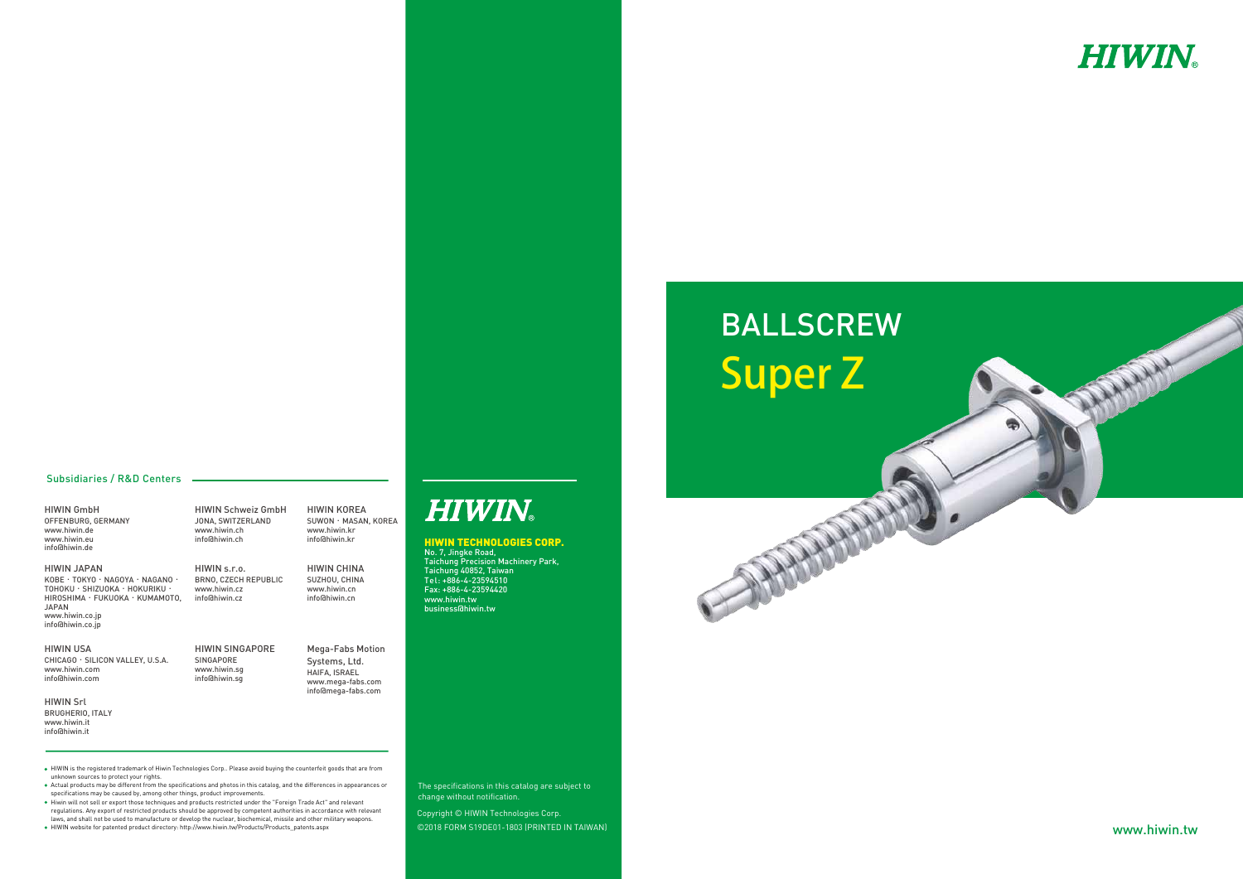©2018 FORM S19DE01-1803 (PRINTED IN TAIWAN) Copyright © HIWIN Technologies Corp.

#### HIWIN TECHNOLOGIES CORP.

No. 7, Jingke Road, Taichung Precision Machinery Park, Taichung 40852, Taiwan Tel: +886-4-23594510 Fax: +886-4-23594420 www.hiwin.tw business@hiwin.tw

The specifications in this catalog are subject to change without notification.

HIWIN is the registered trademark of Hiwin Technologies Corp.. Please avoid buying the counterfeit goods that are from unknown sources to protect your rights.

- Actual products may be different from the specifications and photos in this catalog, and the differences in appearances or specifications may be caused by, among other things, product improvements.
- Hiwin will not sell or export those techniques and products restricted under the "Foreign Trade Act" and relevant regulations. Any export of restricted products should be approved by competent authorities in accordance with relevant laws, and shall not be used to manufacture or develop the nuclear, biochemical, missile and other military weapons.
- HIWIN website for patented product directory: http://www.hiwin.tw/Products/Products\_patents.aspx

#### Subsidiaries / R&D Centers

HIWIN GmbH OFFENBURG, GERMANY www.hiwin.de www.hiwin.eu info@hiwin.de

> HIWIN s.r.o. BRNO, CZECH REPUBLIC www.hiwin.cz info@hiwin.cz

HIWIN JAPAN KOBE**‧**TOKYO**‧**NAGOYA**‧**NAGANO**‧** TOHOKU**‧**SHIZUOKA**‧**HOKURIKU**‧** HIROSHIMA**‧**FUKUOKA**‧**KUMAMOTO, JAPAN www.hiwin.co.jp info@hiwin.co.jp

HIWIN USA CHICAGO**‧**SILICON VALLEY, U.S.A. www.hiwin.com info@hiwin.com

HIWIN Srl BRUGHERIO, ITALY www.hiwin.it info@hiwin.it

HIWIN Schweiz GmbH JONA, SWITZERLAND www.hiwin.ch info@hiwin.ch

HIWIN SINGAPORE info@hiwin.sg

SINGAPORE www.hiwin.sg



HIWIN KOREA SUWON**‧**MASAN, KOREA www.hiwin.kr info@hiwin.kr

HIWIN CHINA SUZHOU, CHINA www.hiwin.cn info@hiwin.cn

Mega-Fabs Motion Systems, Ltd. HAIFA, ISRAEL www.mega-fabs.com info@mega-fabs.com

**HIWIN®** 

# Super Z

www.hiwin.tw